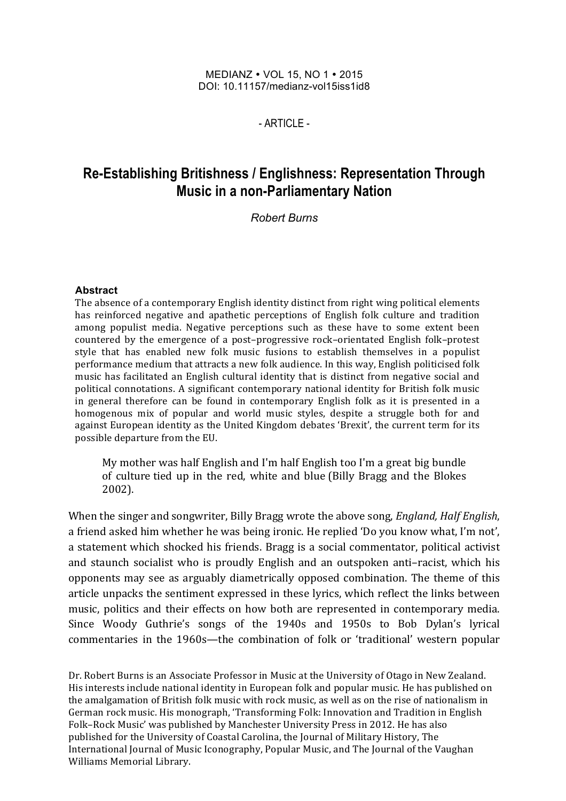#### MEDIANZ • VOL 15, NO 1 • 2015 DOI: 10.11157/medianz-vol15iss1id8

 $-$  ARTICLE -

# **Re-Establishing Britishness / Englishness: Representation Through Music in a non-Parliamentary Nation**

*Robert Burns*

#### **Abstract**

The absence of a contemporary English identity distinct from right wing political elements has reinforced negative and apathetic perceptions of English folk culture and tradition among populist media. Negative perceptions such as these have to some extent been countered by the emergence of a post-progressive rock-orientated English folk-protest style that has enabled new folk music fusions to establish themselves in a populist performance medium that attracts a new folk audience. In this way, English politicised folk music has facilitated an English cultural identity that is distinct from negative social and political connotations. A significant contemporary national identity for British folk music in general therefore can be found in contemporary English folk as it is presented in a homogenous mix of popular and world music styles, despite a struggle both for and against European identity as the United Kingdom debates 'Brexit', the current term for its possible departure from the EU.

My mother was half English and I'm half English too I'm a great big bundle of culture tied up in the red, white and blue (Billy Bragg and the Blokes 2002).

When the singer and songwriter, Billy Bragg wrote the above song, *England, Half English*, a friend asked him whether he was being ironic. He replied 'Do you know what, I'm not', a statement which shocked his friends. Bragg is a social commentator, political activist and staunch socialist who is proudly English and an outspoken anti-racist, which his opponents may see as arguably diametrically opposed combination. The theme of this article unpacks the sentiment expressed in these lyrics, which reflect the links between music, politics and their effects on how both are represented in contemporary media. Since Woody Guthrie's songs of the 1940s and 1950s to Bob Dylan's lyrical commentaries in the 1960s—the combination of folk or 'traditional' western popular

Dr. Robert Burns is an Associate Professor in Music at the University of Otago in New Zealand. His interests include national identity in European folk and popular music. He has published on the amalgamation of British folk music with rock music, as well as on the rise of nationalism in German rock music. His monograph, 'Transforming Folk: Innovation and Tradition in English Folk–Rock Music' was published by Manchester University Press in 2012. He has also published for the University of Coastal Carolina, the Journal of Military History, The International Journal of Music Iconography, Popular Music, and The Journal of the Vaughan Williams Memorial Library.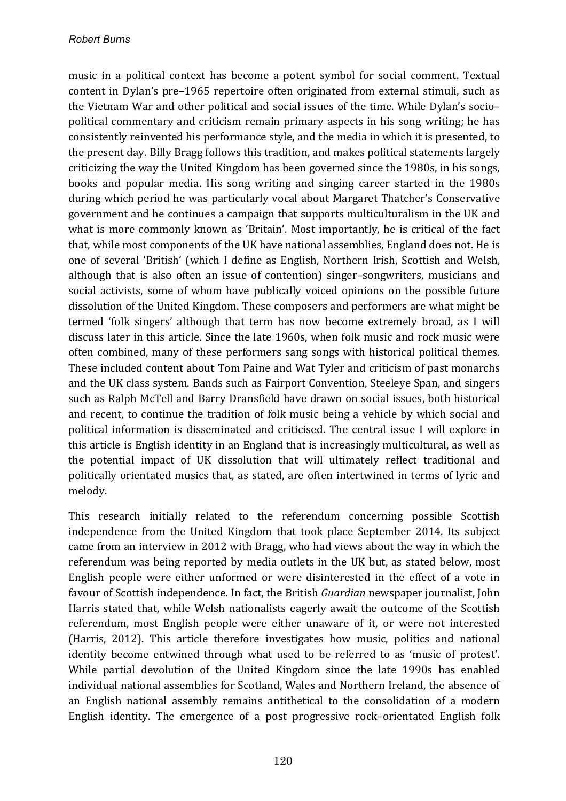music in a political context has become a potent symbol for social comment. Textual content in Dylan's pre-1965 repertoire often originated from external stimuli, such as the Vietnam War and other political and social issues of the time. While Dylan's sociopolitical commentary and criticism remain primary aspects in his song writing; he has consistently reinvented his performance style, and the media in which it is presented, to the present day. Billy Bragg follows this tradition, and makes political statements largely criticizing the way the United Kingdom has been governed since the 1980s, in his songs, books and popular media. His song writing and singing career started in the 1980s during which period he was particularly vocal about Margaret Thatcher's Conservative government and he continues a campaign that supports multiculturalism in the UK and what is more commonly known as 'Britain'. Most importantly, he is critical of the fact that, while most components of the UK have national assemblies, England does not. He is one of several 'British' (which I define as English, Northern Irish, Scottish and Welsh, although that is also often an issue of contention) singer-songwriters, musicians and social activists, some of whom have publically voiced opinions on the possible future dissolution of the United Kingdom. These composers and performers are what might be termed 'folk singers' although that term has now become extremely broad, as I will discuss later in this article. Since the late 1960s, when folk music and rock music were often combined, many of these performers sang songs with historical political themes. These included content about Tom Paine and Wat Tyler and criticism of past monarchs and the UK class system. Bands such as Fairport Convention, Steeleye Span, and singers such as Ralph McTell and Barry Dransfield have drawn on social issues, both historical and recent, to continue the tradition of folk music being a vehicle by which social and political information is disseminated and criticised. The central issue I will explore in this article is English identity in an England that is increasingly multicultural, as well as the potential impact of UK dissolution that will ultimately reflect traditional and politically orientated musics that, as stated, are often intertwined in terms of lyric and melody.

This research initially related to the referendum concerning possible Scottish independence from the United Kingdom that took place September 2014. Its subject came from an interview in 2012 with Bragg, who had views about the way in which the referendum was being reported by media outlets in the UK but, as stated below, most English people were either unformed or were disinterested in the effect of a vote in favour of Scottish independence. In fact, the British *Guardian* newspaper journalist, John Harris stated that, while Welsh nationalists eagerly await the outcome of the Scottish referendum, most English people were either unaware of it, or were not interested (Harris, 2012). This article therefore investigates how music, politics and national identity become entwined through what used to be referred to as 'music of protest'. While partial devolution of the United Kingdom since the late 1990s has enabled individual national assemblies for Scotland, Wales and Northern Ireland, the absence of an English national assembly remains antithetical to the consolidation of a modern English identity. The emergence of a post progressive rock-orientated English folk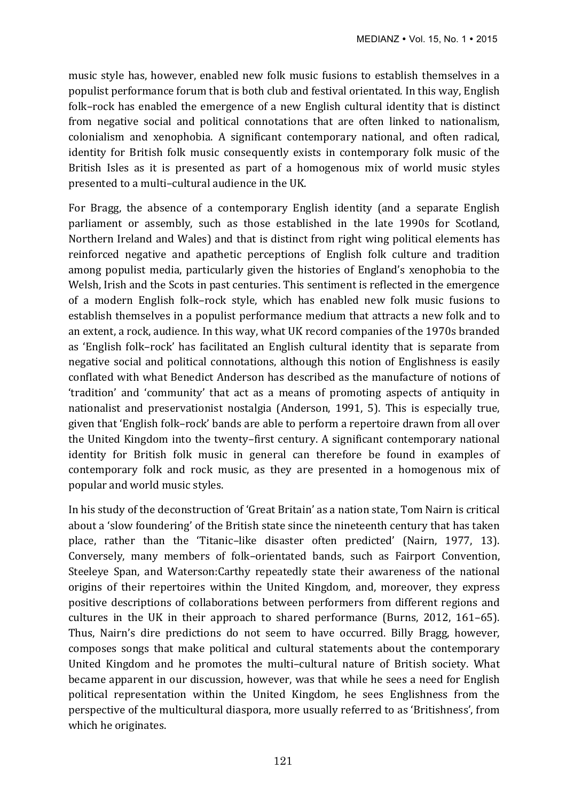music style has, however, enabled new folk music fusions to establish themselves in a populist performance forum that is both club and festival orientated. In this way, English folk–rock has enabled the emergence of a new English cultural identity that is distinct from negative social and political connotations that are often linked to nationalism, colonialism and xenophobia. A significant contemporary national, and often radical, identity for British folk music consequently exists in contemporary folk music of the British Isles as it is presented as part of a homogenous mix of world music styles presented to a multi-cultural audience in the UK.

For Bragg, the absence of a contemporary English identity (and a separate English parliament or assembly, such as those established in the late 1990s for Scotland, Northern Ireland and Wales) and that is distinct from right wing political elements has reinforced negative and apathetic perceptions of English folk culture and tradition among populist media, particularly given the histories of England's xenophobia to the Welsh, Irish and the Scots in past centuries. This sentiment is reflected in the emergence of a modern English folk–rock style, which has enabled new folk music fusions to establish themselves in a populist performance medium that attracts a new folk and to an extent, a rock, audience. In this way, what UK record companies of the 1970s branded as 'English folk-rock' has facilitated an English cultural identity that is separate from negative social and political connotations, although this notion of Englishness is easily conflated with what Benedict Anderson has described as the manufacture of notions of 'tradition' and 'community' that act as a means of promoting aspects of antiquity in nationalist and preservationist nostalgia (Anderson, 1991, 5). This is especially true, given that 'English folk–rock' bands are able to perform a repertoire drawn from all over the United Kingdom into the twenty-first century. A significant contemporary national identity for British folk music in general can therefore be found in examples of contemporary folk and rock music, as they are presented in a homogenous mix of popular and world music styles.

In his study of the deconstruction of 'Great Britain' as a nation state, Tom Nairn is critical about a 'slow foundering' of the British state since the nineteenth century that has taken place, rather than the 'Titanic-like disaster often predicted' (Nairn, 1977, 13). Conversely, many members of folk-orientated bands, such as Fairport Convention, Steeleye Span, and Waterson:Carthy repeatedly state their awareness of the national origins of their repertoires within the United Kingdom, and, moreover, they express positive descriptions of collaborations between performers from different regions and cultures in the UK in their approach to shared performance (Burns,  $2012$ ,  $161-65$ ). Thus, Nairn's dire predictions do not seem to have occurred. Billy Bragg, however, composes songs that make political and cultural statements about the contemporary United Kingdom and he promotes the multi–cultural nature of British society. What became apparent in our discussion, however, was that while he sees a need for English political representation within the United Kingdom, he sees Englishness from the perspective of the multicultural diaspora, more usually referred to as 'Britishness', from which he originates.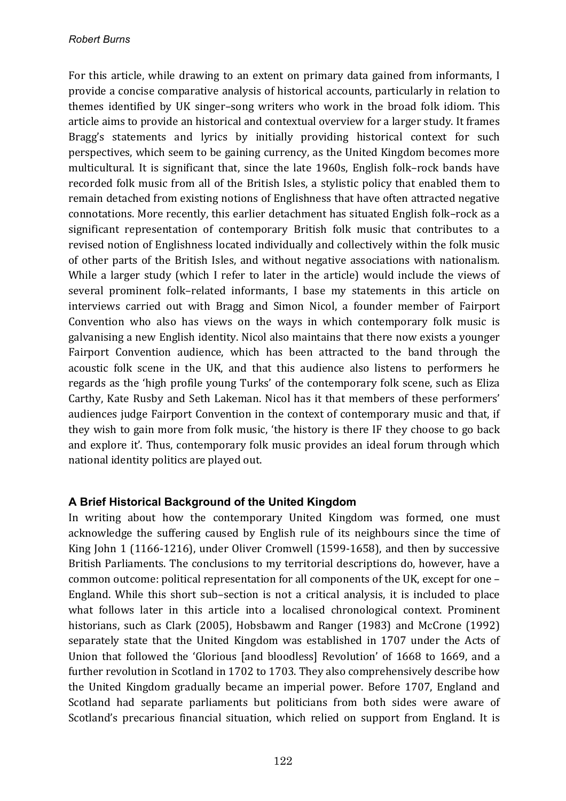For this article, while drawing to an extent on primary data gained from informants, I provide a concise comparative analysis of historical accounts, particularly in relation to themes identified by UK singer-song writers who work in the broad folk idiom. This article aims to provide an historical and contextual overview for a larger study. It frames Bragg's statements and lyrics by initially providing historical context for such perspectives, which seem to be gaining currency, as the United Kingdom becomes more multicultural. It is significant that, since the late 1960s, English folk–rock bands have recorded folk music from all of the British Isles, a stylistic policy that enabled them to remain detached from existing notions of Englishness that have often attracted negative connotations. More recently, this earlier detachment has situated English folk–rock as a significant representation of contemporary British folk music that contributes to a revised notion of Englishness located individually and collectively within the folk music of other parts of the British Isles, and without negative associations with nationalism. While a larger study (which I refer to later in the article) would include the views of several prominent folk–related informants, I base my statements in this article on interviews carried out with Bragg and Simon Nicol, a founder member of Fairport Convention who also has views on the ways in which contemporary folk music is galvanising a new English identity. Nicol also maintains that there now exists a younger Fairport Convention audience, which has been attracted to the band through the acoustic folk scene in the UK, and that this audience also listens to performers he regards as the 'high profile young Turks' of the contemporary folk scene, such as Eliza Carthy, Kate Rusby and Seth Lakeman. Nicol has it that members of these performers' audiences judge Fairport Convention in the context of contemporary music and that, if they wish to gain more from folk music, 'the history is there IF they choose to go back and explore it'. Thus, contemporary folk music provides an ideal forum through which national identity politics are played out.

### **A Brief Historical Background of the United Kingdom**

In writing about how the contemporary United Kingdom was formed, one must acknowledge the suffering caused by English rule of its neighbours since the time of King John 1 (1166-1216), under Oliver Cromwell (1599-1658), and then by successive British Parliaments. The conclusions to my territorial descriptions do, however, have a common outcome: political representation for all components of the UK, except for one  $-$ England. While this short sub–section is not a critical analysis, it is included to place what follows later in this article into a localised chronological context. Prominent historians, such as Clark (2005), Hobsbawm and Ranger (1983) and McCrone (1992) separately state that the United Kingdom was established in 1707 under the Acts of Union that followed the 'Glorious [and bloodless] Revolution' of 1668 to 1669, and a further revolution in Scotland in 1702 to 1703. They also comprehensively describe how the United Kingdom gradually became an imperial power. Before 1707, England and Scotland had separate parliaments but politicians from both sides were aware of Scotland's precarious financial situation, which relied on support from England. It is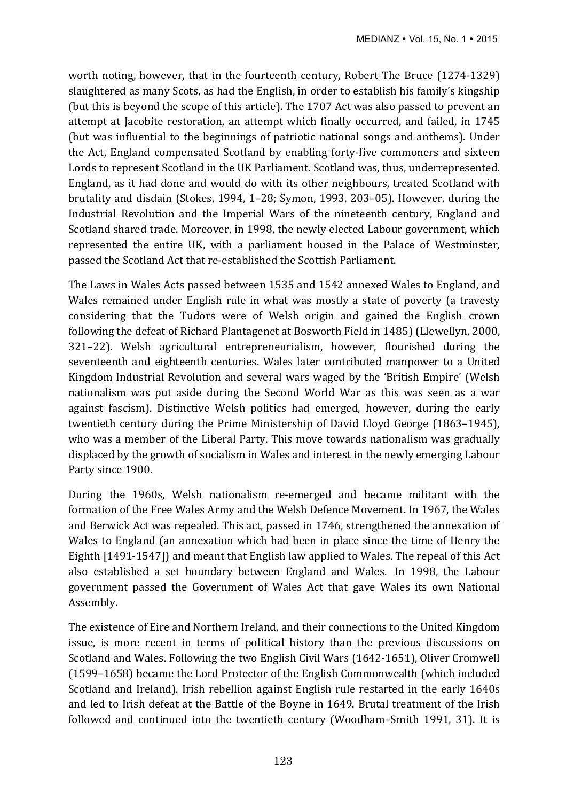worth noting, however, that in the fourteenth century, Robert The Bruce (1274-1329) slaughtered as many Scots, as had the English, in order to establish his family's kingship (but this is beyond the scope of this article). The 1707 Act was also passed to prevent an attempt at Jacobite restoration, an attempt which finally occurred, and failed, in 1745 (but was influential to the beginnings of patriotic national songs and anthems). Under the Act, England compensated Scotland by enabling forty-five commoners and sixteen Lords to represent Scotland in the UK Parliament. Scotland was, thus, underrepresented. England, as it had done and would do with its other neighbours, treated Scotland with brutality and disdain (Stokes, 1994, 1-28; Symon, 1993, 203-05). However, during the Industrial Revolution and the Imperial Wars of the nineteenth century, England and Scotland shared trade. Moreover, in 1998, the newly elected Labour government, which represented the entire UK, with a parliament housed in the Palace of Westminster, passed the Scotland Act that re-established the Scottish Parliament.

The Laws in Wales Acts passed between 1535 and 1542 annexed Wales to England, and Wales remained under English rule in what was mostly a state of poverty (a travesty considering that the Tudors were of Welsh origin and gained the English crown following the defeat of Richard Plantagenet at Bosworth Field in 1485) (Llewellyn, 2000, 321–22). Welsh agricultural entrepreneurialism, however, flourished during the seventeenth and eighteenth centuries. Wales later contributed manpower to a United Kingdom Industrial Revolution and several wars waged by the 'British Empire' (Welsh nationalism was put aside during the Second World War as this was seen as a war against fascism). Distinctive Welsh politics had emerged, however, during the early twentieth century during the Prime Ministership of David Lloyd George (1863–1945), who was a member of the Liberal Party. This move towards nationalism was gradually displaced by the growth of socialism in Wales and interest in the newly emerging Labour Party since 1900.

During the 1960s, Welsh nationalism re-emerged and became militant with the formation of the Free Wales Army and the Welsh Defence Movement. In 1967, the Wales and Berwick Act was repealed. This act, passed in 1746, strengthened the annexation of Wales to England (an annexation which had been in place since the time of Henry the Eighth [1491-1547]) and meant that English law applied to Wales. The repeal of this Act also established a set boundary between England and Wales. In 1998, the Labour government passed the Government of Wales Act that gave Wales its own National Assembly.

The existence of Eire and Northern Ireland, and their connections to the United Kingdom issue, is more recent in terms of political history than the previous discussions on Scotland and Wales. Following the two English Civil Wars (1642-1651), Oliver Cromwell (1599–1658) became the Lord Protector of the English Commonwealth (which included Scotland and Ireland). Irish rebellion against English rule restarted in the early 1640s and led to Irish defeat at the Battle of the Boyne in 1649. Brutal treatment of the Irish followed and continued into the twentieth century (Woodham–Smith 1991, 31). It is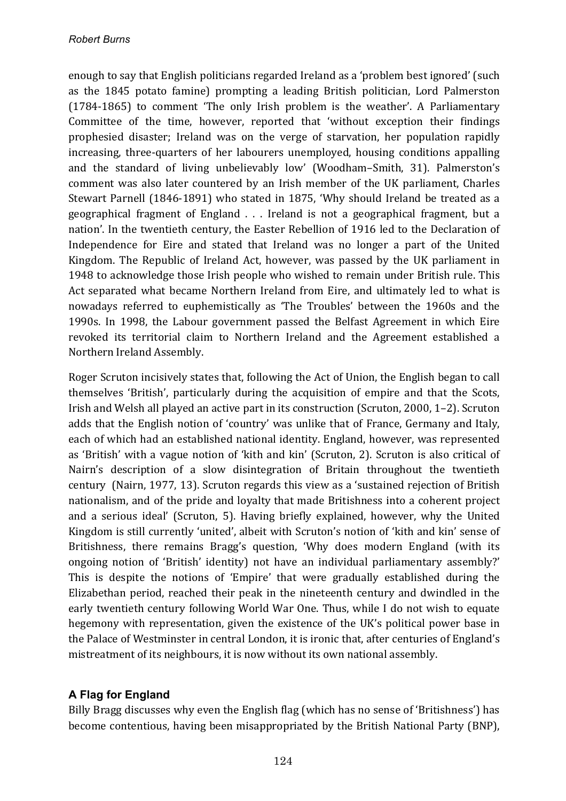enough to say that English politicians regarded Ireland as a 'problem best ignored' (such as the 1845 potato famine) prompting a leading British politician, Lord Palmerston  $(1784-1865)$  to comment 'The only Irish problem is the weather'. A Parliamentary Committee of the time, however, reported that 'without exception their findings prophesied disaster; Ireland was on the verge of starvation, her population rapidly increasing, three-quarters of her labourers unemployed, housing conditions appalling and the standard of living unbelievably low' (Woodham-Smith, 31). Palmerston's comment was also later countered by an Irish member of the UK parliament, Charles Stewart Parnell (1846-1891) who stated in 1875, 'Why should Ireland be treated as a geographical fragment of England . . . Ireland is not a geographical fragment, but a nation'. In the twentieth century, the Easter Rebellion of 1916 led to the Declaration of Independence for Eire and stated that Ireland was no longer a part of the United Kingdom. The Republic of Ireland Act, however, was passed by the UK parliament in 1948 to acknowledge those Irish people who wished to remain under British rule. This Act separated what became Northern Ireland from Eire, and ultimately led to what is nowadays referred to euphemistically as 'The Troubles' between the 1960s and the 1990s. In 1998, the Labour government passed the Belfast Agreement in which Eire revoked its territorial claim to Northern Ireland and the Agreement established a Northern Ireland Assembly.

Roger Scruton incisively states that, following the Act of Union, the English began to call themselves 'British', particularly during the acquisition of empire and that the Scots, Irish and Welsh all played an active part in its construction (Scruton, 2000, 1–2). Scruton adds that the English notion of 'country' was unlike that of France, Germany and Italy, each of which had an established national identity. England, however, was represented as 'British' with a vague notion of 'kith and kin' (Scruton, 2). Scruton is also critical of Nairn's description of a slow disintegration of Britain throughout the twentieth century (Nairn, 1977, 13). Scruton regards this view as a 'sustained rejection of British nationalism, and of the pride and loyalty that made Britishness into a coherent project and a serious ideal' (Scruton, 5). Having briefly explained, however, why the United Kingdom is still currently 'united', albeit with Scruton's notion of 'kith and kin' sense of Britishness, there remains Bragg's question, 'Why does modern England (with its ongoing notion of 'British' identity) not have an individual parliamentary assembly?' This is despite the notions of 'Empire' that were gradually established during the Elizabethan period, reached their peak in the nineteenth century and dwindled in the early twentieth century following World War One. Thus, while I do not wish to equate hegemony with representation, given the existence of the UK's political power base in the Palace of Westminster in central London, it is ironic that, after centuries of England's mistreatment of its neighbours, it is now without its own national assembly.

## **A Flag for England**

Billy Bragg discusses why even the English flag (which has no sense of 'Britishness') has become contentious, having been misappropriated by the British National Party (BNP),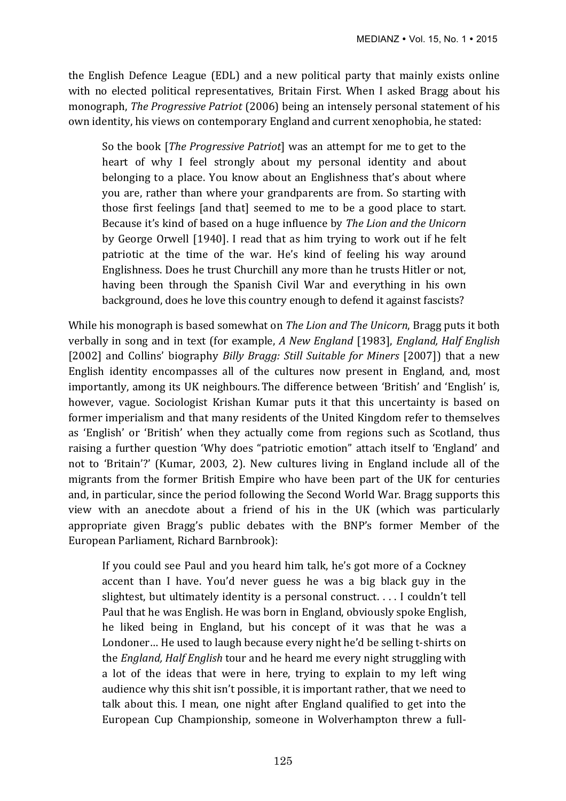the English Defence League (EDL) and a new political party that mainly exists online with no elected political representatives, Britain First. When I asked Bragg about his monograph, *The Progressive Patriot* (2006) being an intensely personal statement of his own identity, his views on contemporary England and current xenophobia, he stated:

So the book [*The Progressive Patriot*] was an attempt for me to get to the heart of why I feel strongly about my personal identity and about belonging to a place. You know about an Englishness that's about where you are, rather than where your grandparents are from. So starting with those first feelings [and that] seemed to me to be a good place to start. Because it's kind of based on a huge influence by *The Lion and the Unicorn* by George Orwell [1940]. I read that as him trying to work out if he felt patriotic at the time of the war. He's kind of feeling his way around Englishness. Does he trust Churchill any more than he trusts Hitler or not. having been through the Spanish Civil War and everything in his own background, does he love this country enough to defend it against fascists?

While his monograph is based somewhat on *The Lion and The Unicorn*, Bragg puts it both verbally in song and in text (for example, A New England [1983], *England, Half English* [2002] and Collins' biography *Billy Bragg: Still Suitable for Miners* [2007]) that a new English identity encompasses all of the cultures now present in England, and, most importantly, among its UK neighbours. The difference between 'British' and 'English' is, however, vague. Sociologist Krishan Kumar puts it that this uncertainty is based on former imperialism and that many residents of the United Kingdom refer to themselves as 'English' or 'British' when they actually come from regions such as Scotland, thus raising a further question 'Why does "patriotic emotion" attach itself to 'England' and not to 'Britain'?' (Kumar, 2003, 2). New cultures living in England include all of the migrants from the former British Empire who have been part of the UK for centuries and, in particular, since the period following the Second World War. Bragg supports this view with an anecdote about a friend of his in the UK (which was particularly appropriate given Bragg's public debates with the BNP's former Member of the European Parliament, Richard Barnbrook):

If you could see Paul and you heard him talk, he's got more of a Cockney accent than I have. You'd never guess he was a big black guy in the slightest, but ultimately identity is a personal construct.  $\ldots$  I couldn't tell Paul that he was English. He was born in England, obviously spoke English. he liked being in England, but his concept of it was that he was a Londoner... He used to laugh because every night he'd be selling t-shirts on the *England, Half English* tour and he heard me every night struggling with a lot of the ideas that were in here, trying to explain to my left wing audience why this shit isn't possible, it is important rather, that we need to talk about this. I mean, one night after England qualified to get into the European Cup Championship, someone in Wolverhampton threw a full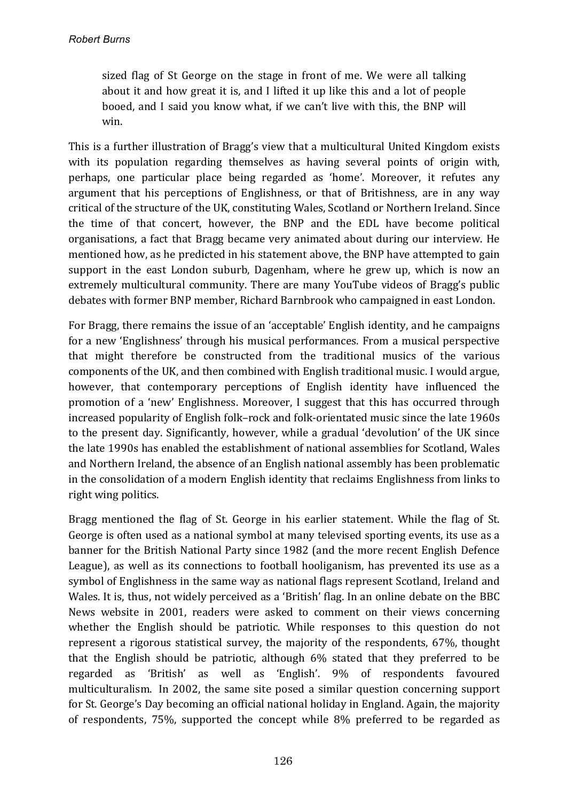sized flag of St George on the stage in front of me. We were all talking about it and how great it is, and I lifted it up like this and a lot of people booed, and I said you know what, if we can't live with this, the BNP will win.

This is a further illustration of Bragg's view that a multicultural United Kingdom exists with its population regarding themselves as having several points of origin with, perhaps, one particular place being regarded as 'home'. Moreover, it refutes any argument that his perceptions of Englishness, or that of Britishness, are in any way critical of the structure of the UK, constituting Wales, Scotland or Northern Ireland. Since the time of that concert, however, the BNP and the EDL have become political organisations, a fact that Bragg became very animated about during our interview. He mentioned how, as he predicted in his statement above, the BNP have attempted to gain support in the east London suburb, Dagenham, where he grew up, which is now an extremely multicultural community. There are many YouTube videos of Bragg's public debates with former BNP member, Richard Barnbrook who campaigned in east London.

For Bragg, there remains the issue of an 'acceptable' English identity, and he campaigns for a new 'Englishness' through his musical performances. From a musical perspective that might therefore be constructed from the traditional musics of the various components of the UK, and then combined with English traditional music. I would argue, however, that contemporary perceptions of English identity have influenced the promotion of a 'new' Englishness. Moreover, I suggest that this has occurred through increased popularity of English folk–rock and folk-orientated music since the late 1960s to the present day. Significantly, however, while a gradual 'devolution' of the UK since the late 1990s has enabled the establishment of national assemblies for Scotland, Wales and Northern Ireland, the absence of an English national assembly has been problematic in the consolidation of a modern English identity that reclaims Englishness from links to right wing politics.

Bragg mentioned the flag of St. George in his earlier statement. While the flag of St. George is often used as a national symbol at many televised sporting events, its use as a banner for the British National Party since 1982 (and the more recent English Defence League), as well as its connections to football hooliganism, has prevented its use as a symbol of Englishness in the same way as national flags represent Scotland, Ireland and Wales. It is, thus, not widely perceived as a 'British' flag. In an online debate on the BBC News website in 2001, readers were asked to comment on their views concerning whether the English should be patriotic. While responses to this question do not represent a rigorous statistical survey, the majority of the respondents, 67%, thought that the English should be patriotic, although 6% stated that they preferred to be regarded as 'British' as well as 'English'. 9% of respondents favoured multiculturalism. In 2002, the same site posed a similar question concerning support for St. George's Day becoming an official national holiday in England. Again, the majority of respondents,  $75\%$ , supported the concept while  $8\%$  preferred to be regarded as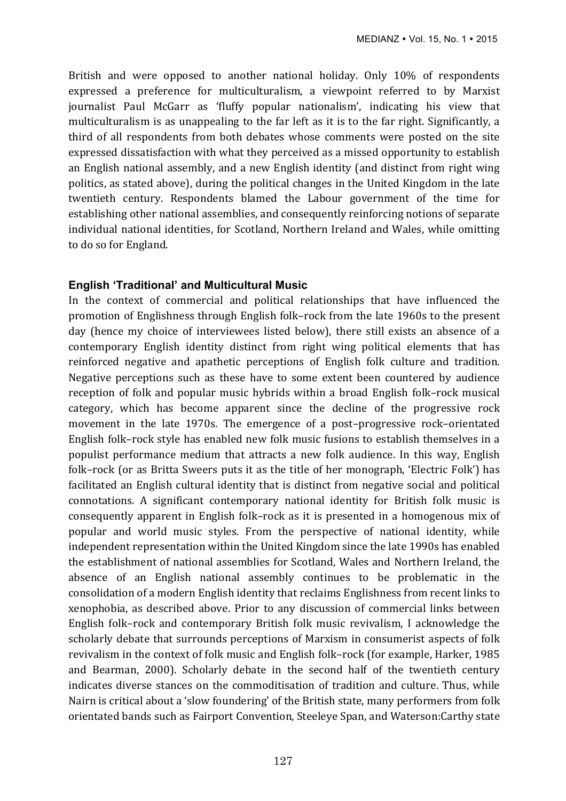British and were opposed to another national holiday. Only 10% of respondents expressed a preference for multiculturalism, a viewpoint referred to by Marxist journalist Paul McGarr as 'fluffy popular nationalism', indicating his view that multiculturalism is as unappealing to the far left as it is to the far right. Significantly, a third of all respondents from both debates whose comments were posted on the site expressed dissatisfaction with what they perceived as a missed opportunity to establish an English national assembly, and a new English identity (and distinct from right wing politics, as stated above), during the political changes in the United Kingdom in the late twentieth century. Respondents blamed the Labour government of the time for establishing other national assemblies, and consequently reinforcing notions of separate individual national identities, for Scotland, Northern Ireland and Wales, while omitting to do so for England.

### **English 'Traditional' and Multicultural Music**

In the context of commercial and political relationships that have influenced the promotion of Englishness through English folk–rock from the late 1960s to the present day (hence my choice of interviewees listed below), there still exists an absence of a contemporary English identity distinct from right wing political elements that has reinforced negative and apathetic perceptions of English folk culture and tradition. Negative perceptions such as these have to some extent been countered by audience reception of folk and popular music hybrids within a broad English folk–rock musical category, which has become apparent since the decline of the progressive rock movement in the late 1970s. The emergence of a post-progressive rock-orientated English folk–rock style has enabled new folk music fusions to establish themselves in a populist performance medium that attracts a new folk audience. In this way, English folk–rock (or as Britta Sweers puts it as the title of her monograph, 'Electric Folk') has facilitated an English cultural identity that is distinct from negative social and political connotations. A significant contemporary national identity for British folk music is consequently apparent in English folk–rock as it is presented in a homogenous mix of popular and world music styles. From the perspective of national identity, while independent representation within the United Kingdom since the late 1990s has enabled the establishment of national assemblies for Scotland, Wales and Northern Ireland, the absence of an English national assembly continues to be problematic in the consolidation of a modern English identity that reclaims Englishness from recent links to xenophobia, as described above. Prior to any discussion of commercial links between English folk–rock and contemporary British folk music revivalism, I acknowledge the scholarly debate that surrounds perceptions of Marxism in consumerist aspects of folk revivalism in the context of folk music and English folk–rock (for example, Harker, 1985 and Bearman, 2000). Scholarly debate in the second half of the twentieth century indicates diverse stances on the commoditisation of tradition and culture. Thus, while Nairn is critical about a 'slow foundering' of the British state, many performers from folk orientated bands such as Fairport Convention, Steeleye Span, and Waterson:Carthy state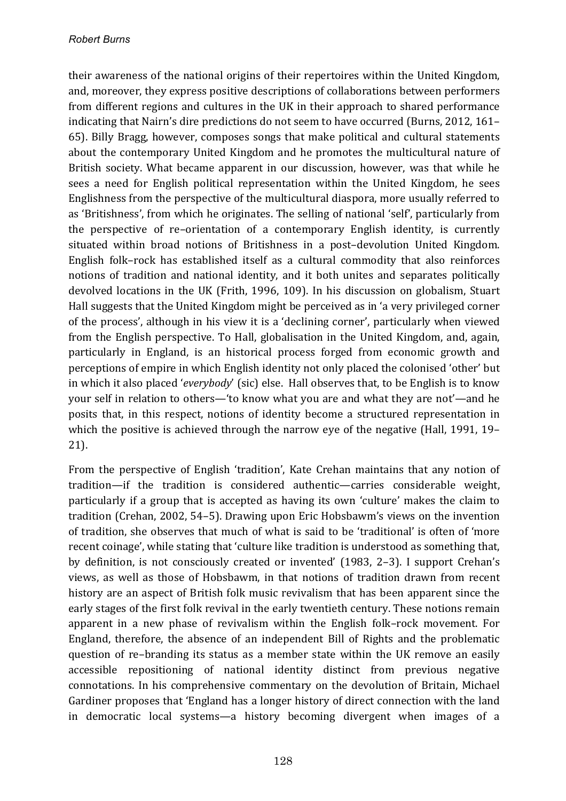their awareness of the national origins of their repertoires within the United Kingdom, and, moreover, they express positive descriptions of collaborations between performers from different regions and cultures in the UK in their approach to shared performance indicating that Nairn's dire predictions do not seem to have occurred (Burns, 2012, 161– 65). Billy Bragg, however, composes songs that make political and cultural statements about the contemporary United Kingdom and he promotes the multicultural nature of British society. What became apparent in our discussion, however, was that while he sees a need for English political representation within the United Kingdom, he sees Englishness from the perspective of the multicultural diaspora, more usually referred to as 'Britishness', from which he originates. The selling of national 'self', particularly from the perspective of re–orientation of a contemporary English identity, is currently situated within broad notions of Britishness in a post-devolution United Kingdom. English folk-rock has established itself as a cultural commodity that also reinforces notions of tradition and national identity, and it both unites and separates politically devolved locations in the UK (Frith, 1996, 109). In his discussion on globalism, Stuart Hall suggests that the United Kingdom might be perceived as in 'a very privileged corner of the process', although in his view it is a 'declining corner', particularly when viewed from the English perspective. To Hall, globalisation in the United Kingdom, and, again, particularly in England, is an historical process forged from economic growth and perceptions of empire in which English identity not only placed the colonised 'other' but in which it also placed '*everybody'* (sic) else. Hall observes that, to be English is to know your self in relation to others—'to know what you are and what they are not'—and he posits that, in this respect, notions of identity become a structured representation in which the positive is achieved through the narrow eye of the negative (Hall, 1991, 19– 21).

From the perspective of English 'tradition', Kate Crehan maintains that any notion of tradition—if the tradition is considered authentic—carries considerable weight, particularly if a group that is accepted as having its own 'culture' makes the claim to tradition (Crehan, 2002, 54–5). Drawing upon Eric Hobsbawm's views on the invention of tradition, she observes that much of what is said to be 'traditional' is often of 'more recent coinage', while stating that 'culture like tradition is understood as something that, by definition, is not consciously created or invented' (1983, 2–3). I support Crehan's views, as well as those of Hobsbawm, in that notions of tradition drawn from recent history are an aspect of British folk music revivalism that has been apparent since the early stages of the first folk revival in the early twentieth century. These notions remain apparent in a new phase of revivalism within the English folk–rock movement. For England, therefore, the absence of an independent Bill of Rights and the problematic question of re-branding its status as a member state within the UK remove an easily accessible repositioning of national identity distinct from previous negative connotations. In his comprehensive commentary on the devolution of Britain, Michael Gardiner proposes that 'England has a longer history of direct connection with the land in democratic local systems—a history becoming divergent when images of a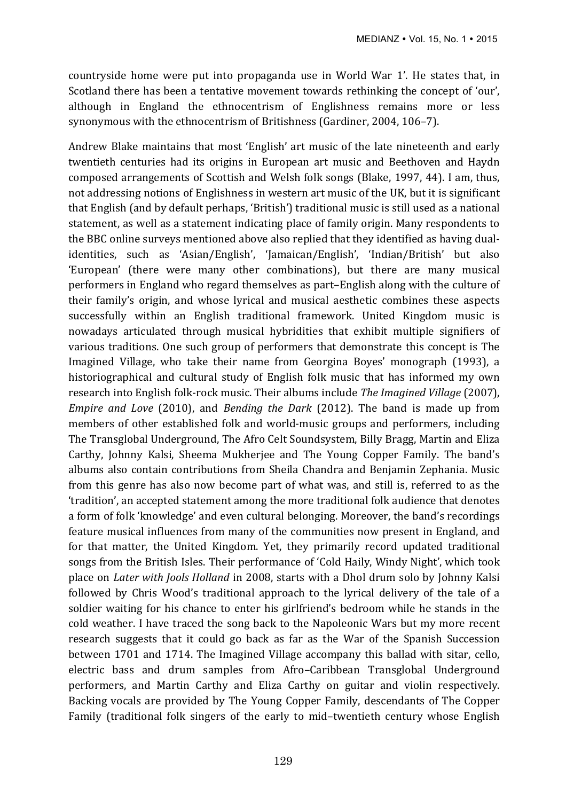countryside home were put into propaganda use in World War 1'. He states that, in Scotland there has been a tentative movement towards rethinking the concept of 'our', although in England the ethnocentrism of Englishness remains more or less synonymous with the ethnocentrism of Britishness (Gardiner, 2004, 106-7).

Andrew Blake maintains that most 'English' art music of the late nineteenth and early twentieth centuries had its origins in European art music and Beethoven and Haydn composed arrangements of Scottish and Welsh folk songs (Blake, 1997, 44). I am, thus, not addressing notions of Englishness in western art music of the UK, but it is significant that English (and by default perhaps, 'British') traditional music is still used as a national statement, as well as a statement indicating place of family origin. Many respondents to the BBC online surveys mentioned above also replied that they identified as having dualidentities, such as 'Asian/English', 'Jamaican/English', 'Indian/British' but also 'European' (there were many other combinations), but there are many musical performers in England who regard themselves as part–English along with the culture of their family's origin, and whose lyrical and musical aesthetic combines these aspects successfully within an English traditional framework. United Kingdom music is nowadays articulated through musical hybridities that exhibit multiple signifiers of various traditions. One such group of performers that demonstrate this concept is The Imagined Village, who take their name from Georgina Boyes' monograph (1993), a historiographical and cultural study of English folk music that has informed my own research into English folk-rock music. Their albums include *The Imagined Village* (2007), *Empire and Love* (2010), and *Bending the Dark* (2012). The band is made up from members of other established folk and world-music groups and performers, including The Transglobal Underground, The Afro Celt Soundsystem, Billy Bragg, Martin and Eliza Carthy, Johnny Kalsi, Sheema Mukherjee and The Young Copper Family. The band's albums also contain contributions from Sheila Chandra and Benjamin Zephania. Music from this genre has also now become part of what was, and still is, referred to as the 'tradition', an accepted statement among the more traditional folk audience that denotes a form of folk 'knowledge' and even cultural belonging. Moreover, the band's recordings feature musical influences from many of the communities now present in England, and for that matter, the United Kingdom. Yet, they primarily record updated traditional songs from the British Isles. Their performance of 'Cold Haily, Windy Night', which took place on *Later with Jools Holland* in 2008, starts with a Dhol drum solo by Johnny Kalsi followed by Chris Wood's traditional approach to the lyrical delivery of the tale of a soldier waiting for his chance to enter his girlfriend's bedroom while he stands in the cold weather. I have traced the song back to the Napoleonic Wars but my more recent research suggests that it could go back as far as the War of the Spanish Succession between 1701 and 1714. The Imagined Village accompany this ballad with sitar, cello, electric bass and drum samples from Afro–Caribbean Transglobal Underground performers, and Martin Carthy and Eliza Carthy on guitar and violin respectively. Backing vocals are provided by The Young Copper Family, descendants of The Copper Family (traditional folk singers of the early to mid-twentieth century whose English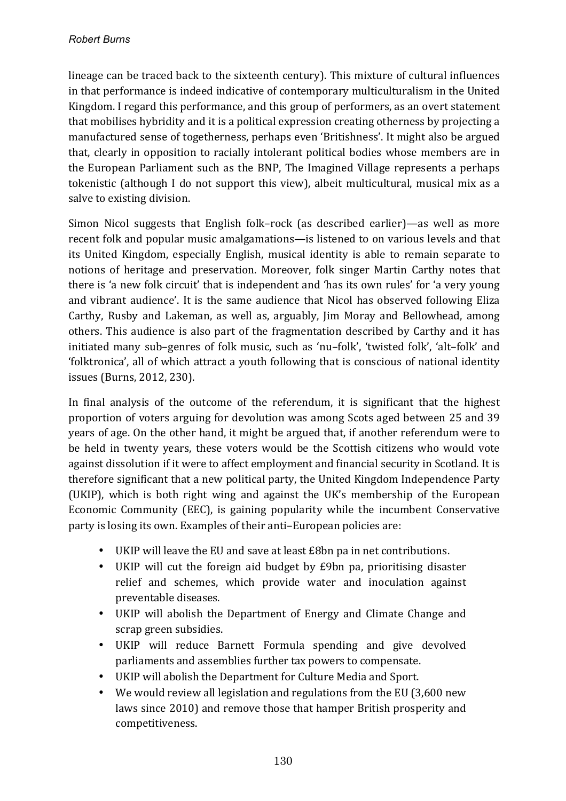lineage can be traced back to the sixteenth century). This mixture of cultural influences in that performance is indeed indicative of contemporary multiculturalism in the United Kingdom. I regard this performance, and this group of performers, as an overt statement that mobilises hybridity and it is a political expression creating otherness by projecting a manufactured sense of togetherness, perhaps even 'Britishness'. It might also be argued that, clearly in opposition to racially intolerant political bodies whose members are in the European Parliament such as the BNP, The Imagined Village represents a perhaps tokenistic (although I do not support this view), albeit multicultural, musical mix as a salve to existing division.

Simon Nicol suggests that English folk–rock (as described earlier)—as well as more recent folk and popular music amalgamations—is listened to on various levels and that its United Kingdom, especially English, musical identity is able to remain separate to notions of heritage and preservation. Moreover, folk singer Martin Carthy notes that there is 'a new folk circuit' that is independent and 'has its own rules' for 'a very young and vibrant audience'. It is the same audience that Nicol has observed following Eliza Carthy, Rusby and Lakeman, as well as, arguably, Jim Moray and Bellowhead, among others. This audience is also part of the fragmentation described by Carthy and it has initiated many sub-genres of folk music, such as 'nu-folk', 'twisted folk', 'alt-folk' and 'folktronica', all of which attract a youth following that is conscious of national identity issues (Burns, 2012, 230).

In final analysis of the outcome of the referendum, it is significant that the highest proportion of voters arguing for devolution was among Scots aged between 25 and 39 years of age. On the other hand, it might be argued that, if another referendum were to be held in twenty years, these voters would be the Scottish citizens who would vote against dissolution if it were to affect employment and financial security in Scotland. It is therefore significant that a new political party, the United Kingdom Independence Party (UKIP), which is both right wing and against the UK's membership of the European Economic Community (EEC), is gaining popularity while the incumbent Conservative party is losing its own. Examples of their anti-European policies are:

- UKIP will leave the EU and save at least £8bn pa in net contributions.
- UKIP will cut the foreign aid budget by £9bn pa, prioritising disaster relief and schemes, which provide water and inoculation against preventable diseases.
- UKIP will abolish the Department of Energy and Climate Change and scrap green subsidies.
- UKIP will reduce Barnett Formula spending and give devolved parliaments and assemblies further tax powers to compensate.
- UKIP will abolish the Department for Culture Media and Sport.
- We would review all legislation and regulations from the EU (3,600 new laws since 2010) and remove those that hamper British prosperity and competitiveness.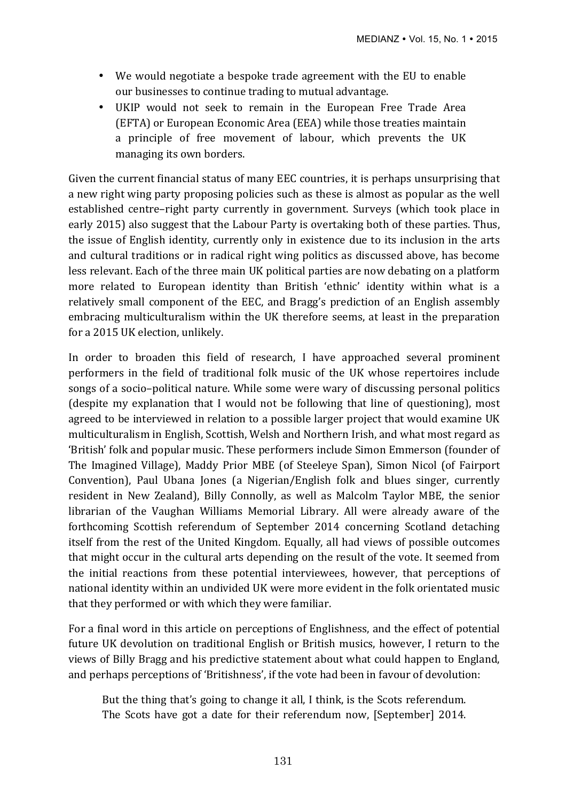- We would negotiate a bespoke trade agreement with the EU to enable our businesses to continue trading to mutual advantage.
- UKIP would not seek to remain in the European Free Trade Area (EFTA) or European Economic Area (EEA) while those treaties maintain a principle of free movement of labour, which prevents the UK managing its own borders.

Given the current financial status of many EEC countries, it is perhaps unsurprising that a new right wing party proposing policies such as these is almost as popular as the well established centre–right party currently in government. Surveys (which took place in early 2015) also suggest that the Labour Party is overtaking both of these parties. Thus, the issue of English identity, currently only in existence due to its inclusion in the arts and cultural traditions or in radical right wing politics as discussed above, has become less relevant. Each of the three main UK political parties are now debating on a platform more related to European identity than British 'ethnic' identity within what is a relatively small component of the EEC, and Bragg's prediction of an English assembly embracing multiculturalism within the UK therefore seems, at least in the preparation for a 2015 UK election, unlikely.

In order to broaden this field of research, I have approached several prominent performers in the field of traditional folk music of the UK whose repertoires include songs of a socio–political nature. While some were wary of discussing personal politics (despite my explanation that I would not be following that line of questioning), most agreed to be interviewed in relation to a possible larger project that would examine UK multiculturalism in English, Scottish, Welsh and Northern Irish, and what most regard as 'British' folk and popular music. These performers include Simon Emmerson (founder of The Imagined Village), Maddy Prior MBE (of Steeleye Span), Simon Nicol (of Fairport Convention), Paul Ubana Jones (a Nigerian/English folk and blues singer, currently resident in New Zealand), Billy Connolly, as well as Malcolm Taylor MBE, the senior librarian of the Vaughan Williams Memorial Library. All were already aware of the forthcoming Scottish referendum of September 2014 concerning Scotland detaching itself from the rest of the United Kingdom. Equally, all had views of possible outcomes that might occur in the cultural arts depending on the result of the vote. It seemed from the initial reactions from these potential interviewees, however, that perceptions of national identity within an undivided UK were more evident in the folk orientated music that they performed or with which they were familiar.

For a final word in this article on perceptions of Englishness, and the effect of potential future UK devolution on traditional English or British musics, however, I return to the views of Billy Bragg and his predictive statement about what could happen to England, and perhaps perceptions of 'Britishness', if the vote had been in favour of devolution:

But the thing that's going to change it all, I think, is the Scots referendum. The Scots have got a date for their referendum now, [September] 2014.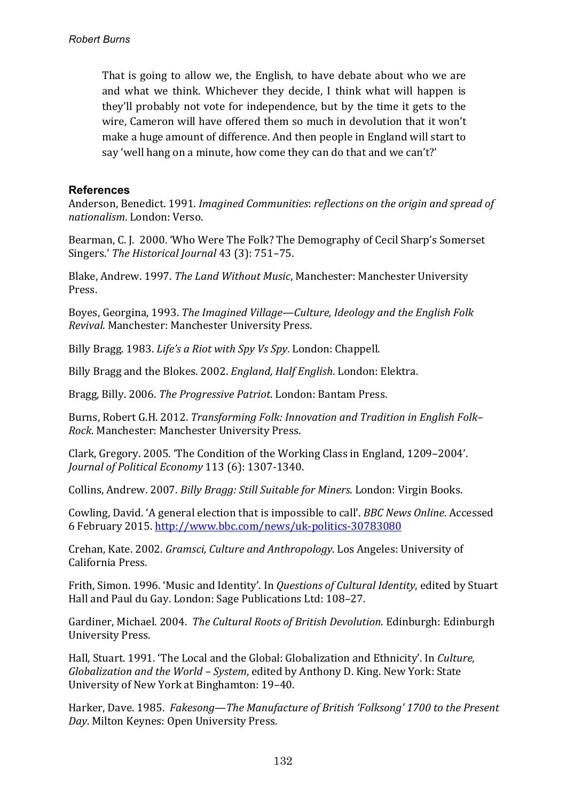That is going to allow we, the English, to have debate about who we are and what we think. Whichever they decide, I think what will happen is they'll probably not vote for independence, but by the time it gets to the wire, Cameron will have offered them so much in devolution that it won't make a huge amount of difference. And then people in England will start to say 'well hang on a minute, how come they can do that and we can't?'

### **References**

Anderson, Benedict. 1991. *Imagined Communities: reflections on the origin and spread of nationalism*. London: Verso.

Bearman, C. J. 2000. 'Who Were The Folk? The Demography of Cecil Sharp's Somerset Singers.' The Historical Journal 43 (3): 751-75.

Blake, Andrew. 1997. *The Land Without Music*, Manchester: Manchester University Press.

Boyes, Georgina, 1993. *The Imagined Village—Culture, Ideology and the English Folk Revival.* Manchester: Manchester University Press.

Billy Bragg. 1983. *Life's a Riot with Spy Vs Spy*. London: Chappell.

Billy Bragg and the Blokes. 2002. *England, Half English*. London: Elektra.

Bragg, Billy. 2006. *The Progressive Patriot*. London: Bantam Press.

Burns, Robert G.H. 2012. *Transforming Folk: Innovation and Tradition in English Folk-Rock*. Manchester: Manchester University Press.

Clark, Gregory. 2005. 'The Condition of the Working Class in England, 1209–2004'. *Journal of Political Economy 113 (6): 1307-1340.* 

Collins, Andrew. 2007. *Billy Bragg: Still Suitable for Miners*. London: Virgin Books.

Cowling, David. 'A general election that is impossible to call'. *BBC News Online*. Accessed 6 February 2015. http://www.bbc.com/news/uk-politics-30783080

Crehan, Kate. 2002. *Gramsci, Culture and Anthropology*. Los Angeles: University of California Press.

Frith, Simon. 1996. 'Music and Identity'. In *Questions of Cultural Identity*, edited by Stuart Hall and Paul du Gay. London: Sage Publications Ltd: 108-27.

Gardiner, Michael. 2004. *The Cultural Roots of British Devolution*. Edinburgh: Edinburgh University Press.

Hall, Stuart. 1991. 'The Local and the Global: Globalization and Ethnicity'. In *Culture*, *Globalization and the World - System*, edited by Anthony D. King. New York: State University of New York at Binghamton: 19-40.

Harker, Dave. 1985. *Fakesong—The Manufacture of British 'Folksong'* 1700 to the Present Day. Milton Keynes: Open University Press.